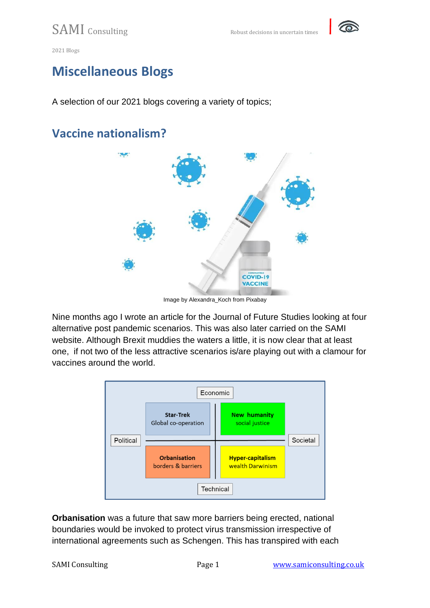

#### **Miscellaneous Blogs**

A selection of our 2021 blogs covering a variety of topics;

#### **Vaccine nationalism?**



Image by Alexandra\_Koch from Pixabay

Nine months ago I wrote an article for the Journal of Future Studies looking at four alternative post pandemic scenarios. This was also later carried on the SAMI website. Although Brexit muddies the waters a little, it is now clear that at least one, if not two of the less attractive scenarios is/are playing out with a clamour for vaccines around the world.



**Orbanisation** was a future that saw more barriers being erected, national boundaries would be invoked to protect virus transmission irrespective of international agreements such as Schengen. This has transpired with each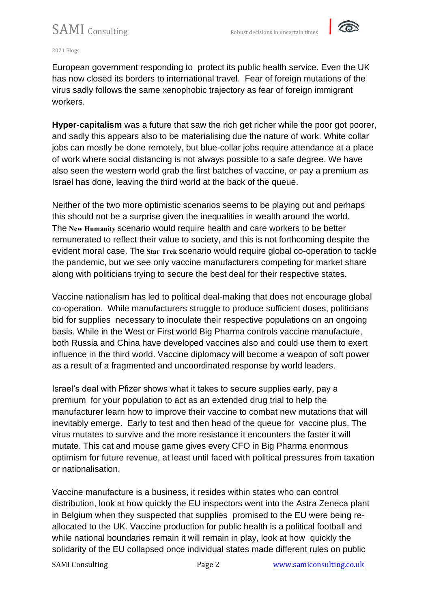

#### 2021 Blogs

European government responding to protect its public health service. Even the UK has now closed its borders to international travel. Fear of foreign mutations of the virus sadly follows the same xenophobic trajectory as fear of foreign immigrant workers.

**Hyper-capitalism** was a future that saw the rich get richer while the poor got poorer, and sadly this appears also to be materialising due the nature of work. White collar jobs can mostly be done remotely, but blue-collar jobs require attendance at a place of work where social distancing is not always possible to a safe degree. We have also seen the western world grab the first batches of vaccine, or pay a premium as Israel has done, leaving the third world at the back of the queue.

Neither of the two more optimistic scenarios seems to be playing out and perhaps this should not be a surprise given the inequalities in wealth around the world. The **New Humanity** scenario would require health and care workers to be better remunerated to reflect their value to society, and this is not forthcoming despite the evident moral case. The **Star Trek** scenario would require global co-operation to tackle the pandemic, but we see only vaccine manufacturers competing for market share along with politicians trying to secure the best deal for their respective states.

Vaccine nationalism has led to political deal-making that does not encourage global co-operation. While manufacturers struggle to produce sufficient doses, politicians bid for supplies necessary to inoculate their respective populations on an ongoing basis. While in the West or First world Big Pharma controls vaccine manufacture, both Russia and China have developed vaccines also and could use them to exert influence in the third world. Vaccine diplomacy will become a weapon of soft power as a result of a fragmented and uncoordinated response by world leaders.

Israel's deal with Pfizer shows what it takes to secure supplies early, pay a premium for your population to act as an extended drug trial to help the manufacturer learn how to improve their vaccine to combat new mutations that will inevitably emerge. Early to test and then head of the queue for vaccine plus. The virus mutates to survive and the more resistance it encounters the faster it will mutate. This cat and mouse game gives every CFO in Big Pharma enormous optimism for future revenue, at least until faced with political pressures from taxation or nationalisation.

Vaccine manufacture is a business, it resides within states who can control distribution, look at how quickly the EU inspectors went into the Astra Zeneca plant in Belgium when they suspected that supplies promised to the EU were being reallocated to the UK. Vaccine production for public health is a political football and while national boundaries remain it will remain in play, look at how quickly the solidarity of the EU collapsed once individual states made different rules on public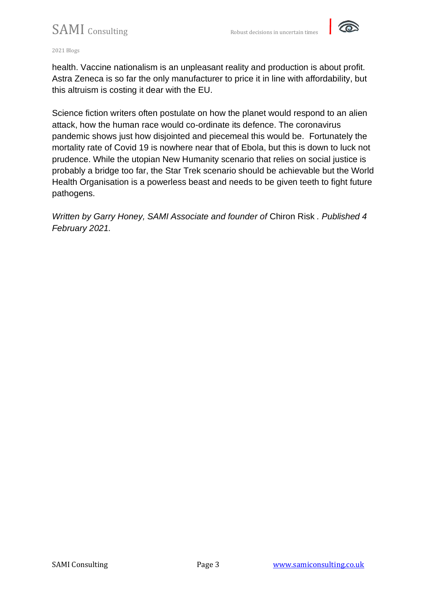

#### 2021 Blogs

health. Vaccine nationalism is an unpleasant reality and production is about profit. Astra Zeneca is so far the only manufacturer to price it in line with affordability, but this altruism is costing it dear with the EU.

Science fiction writers often postulate on how the planet would respond to an alien attack, how the human race would co-ordinate its defence. The coronavirus pandemic shows just how disjointed and piecemeal this would be. Fortunately the mortality rate of Covid 19 is nowhere near that of Ebola, but this is down to luck not prudence. While the utopian New Humanity scenario that relies on social justice is probably a bridge too far, the Star Trek scenario should be achievable but the World Health Organisation is a powerless beast and needs to be given teeth to fight future pathogens.

*Written by Garry Honey, SAMI Associate and founder of* [Chiron Risk](http://www.chiron-risk.com/) *. Published 4 February 2021.*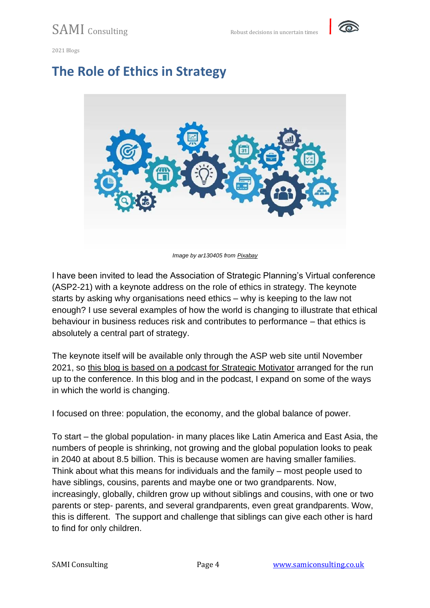

#### **The Role of Ethics in Strategy**



*Image by ar130405 from [Pixabay](https://pixabay.com/)*

I have been invited to lead the Association of Strategic Planning's Virtual conference (ASP2-21) with a keynote address on the role of ethics in strategy. The keynote starts by asking why organisations need ethics – why is keeping to the law not enough? I use several examples of how the world is changing to illustrate that ethical behaviour in business reduces risk and contributes to performance – that ethics is absolutely a central part of strategy.

The keynote itself will be available only through the ASP web site until November 2021, so [this blog is based on a podcast for Strategic Motivator](https://www.strategicmotv8r.com/association-for-strategic-planning.html) arranged for the run up to the conference. In this blog and in the podcast, I expand on some of the ways in which the world is changing.

I focused on three: population, the economy, and the global balance of power.

To start – the global population- in many places like Latin America and East Asia, the numbers of people is shrinking, not growing and the global population looks to peak in 2040 at about 8.5 billion. This is because women are having smaller families. Think about what this means for individuals and the family – most people used to have siblings, cousins, parents and maybe one or two grandparents. Now, increasingly, globally, children grow up without siblings and cousins, with one or two parents or step- parents, and several grandparents, even great grandparents. Wow, this is different. The support and challenge that siblings can give each other is hard to find for only children.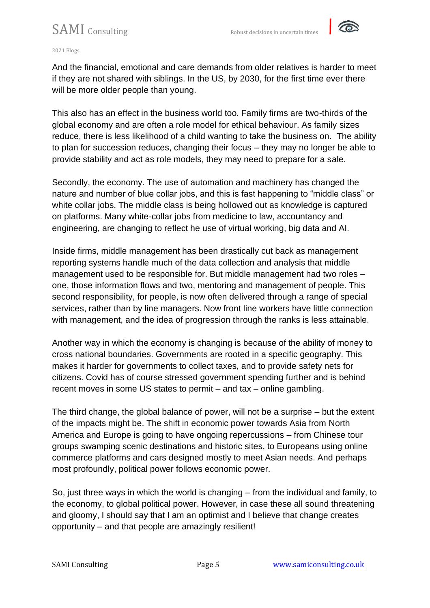

#### 2021 Blogs

And the financial, emotional and care demands from older relatives is harder to meet if they are not shared with siblings. In the US, by 2030, for the first time ever there will be more older people than young.

This also has an effect in the business world too. Family firms are two-thirds of the global economy and are often a role model for ethical behaviour. As family sizes reduce, there is less likelihood of a child wanting to take the business on. The ability to plan for succession reduces, changing their focus – they may no longer be able to provide stability and act as role models, they may need to prepare for a sale.

Secondly, the economy. The use of automation and machinery has changed the nature and number of blue collar jobs, and this is fast happening to "middle class" or white collar jobs. The middle class is being hollowed out as knowledge is captured on platforms. Many white-collar jobs from medicine to law, accountancy and engineering, are changing to reflect he use of virtual working, big data and AI.

Inside firms, middle management has been drastically cut back as management reporting systems handle much of the data collection and analysis that middle management used to be responsible for. But middle management had two roles – one, those information flows and two, mentoring and management of people. This second responsibility, for people, is now often delivered through a range of special services, rather than by line managers. Now front line workers have little connection with management, and the idea of progression through the ranks is less attainable.

Another way in which the economy is changing is because of the ability of money to cross national boundaries. Governments are rooted in a specific geography. This makes it harder for governments to collect taxes, and to provide safety nets for citizens. Covid has of course stressed government spending further and is behind recent moves in some US states to permit – and tax – online gambling.

The third change, the global balance of power, will not be a surprise – but the extent of the impacts might be. The shift in economic power towards Asia from North America and Europe is going to have ongoing repercussions – from Chinese tour groups swamping scenic destinations and historic sites, to Europeans using online commerce platforms and cars designed mostly to meet Asian needs. And perhaps most profoundly, political power follows economic power.

So, just three ways in which the world is changing – from the individual and family, to the economy, to global political power. However, in case these all sound threatening and gloomy, I should say that I am an optimist and I believe that change creates opportunity – and that people are amazingly resilient!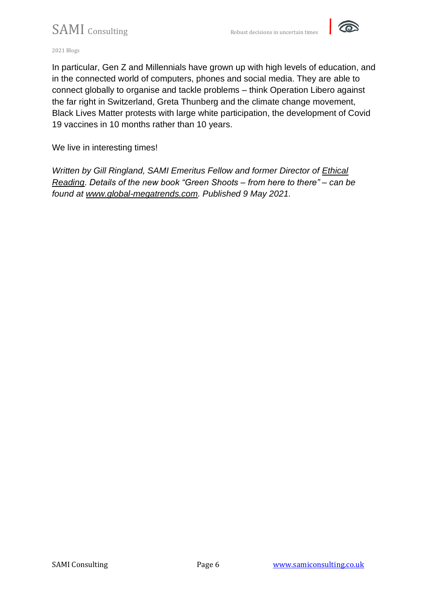

2021 Blogs

In particular, Gen Z and Millennials have grown up with high levels of education, and in the connected world of computers, phones and social media. They are able to connect globally to organise and tackle problems – think Operation Libero against the far right in Switzerland, Greta Thunberg and the climate change movement, Black Lives Matter protests with large white participation, the development of Covid 19 vaccines in 10 months rather than 10 years.

We live in interesting times!

*Written by Gill Ringland, SAMI Emeritus Fellow and former Director of [Ethical](https://www.ethicalreading.org.uk/)  [Reading.](https://www.ethicalreading.org.uk/) Details of the new book "Green Shoots – from here to there" – can be found at [www.global-megatrends.com.](http://www.global-megatrends.com/) Published 9 May 2021.*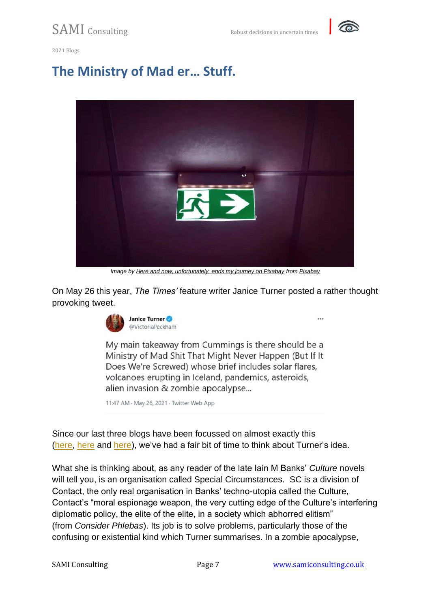

2021 Blogs

# **The Ministry of Mad er… Stuff.**



*Image by [Here and now, unfortunately, ends my journey on Pixabay](https://pixabay.com/users/alexas_fotos-686414/?utm_source=link-attribution&utm_medium=referral&utm_campaign=image&utm_content=4622086) from [Pixabay](https://pixabay.com/?utm_source=link-attribution&utm_medium=referral&utm_campaign=image&utm_content=4622086)*

On May 26 this year, *The Times'* feature writer Janice Turner posted a rather thought provoking tweet.



My main takeaway from Cummings is there should be a Ministry of Mad Shit That Might Never Happen (But If It Does We're Screwed) whose brief includes solar flares, volcanoes erupting in Iceland, pandemics, asteroids, alien invasion & zombie apocalypse...

11:47 AM · May 26, 2021 · Twitter Web App

Since our last three blogs have been focussed on almost exactly this [\(here,](https://samiconsulting.co.uk/the-resilience-imperative/) [here](https://samiconsulting.co.uk/future-proofing-for-resilience-and-for-opportunity/) and [here\)](https://samiconsulting.co.uk/thinking-the-unthinkable/), we've had a fair bit of time to think about Turner's idea.

What she is thinking about, as any reader of the late Iain M Banks' *Culture* novels will tell you, is an organisation called Special Circumstances. SC is a division of Contact, the only real organisation in Banks' techno-utopia called the Culture, Contact's "moral espionage weapon, the very cutting edge of the Culture's interfering diplomatic policy, the elite of the elite, in a society which abhorred elitism" (from *Consider Phlebas*). Its job is to solve problems, particularly those of the confusing or existential kind which Turner summarises. In a zombie apocalypse,

 $\cdots$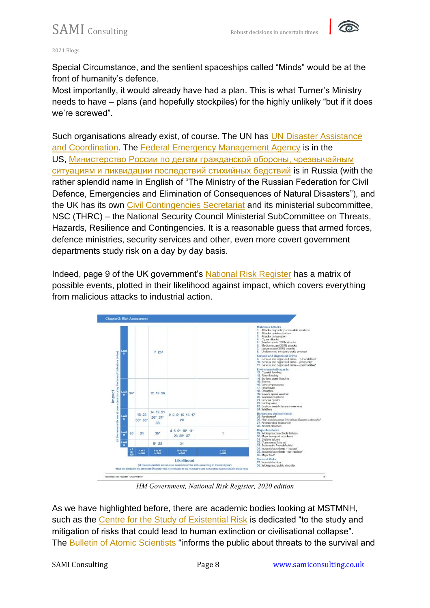

#### 2021 Blogs

Special Circumstance, and the sentient spaceships called "Minds" would be at the front of humanity's defence.

Most importantly, it would already have had a plan. This is what Turner's Ministry needs to have – plans (and hopefully stockpiles) for the highly unlikely "but if it does we're screwed".

Such organisations already exist, of course. The UN has UN Disaster Assistance [and Coordination.](https://www.unocha.org/our-work/coordination/un-disaster-assessment-and-coordination-undac) The [Federal Emergency Management Agency](https://www.fema.gov/) is in the US, [Министерство России по делам гражданской обороны, чрезвычайным](https://www.mchs.gov.ru/)  [ситуациям и ликвидации последствий стихийных бедствий](https://www.mchs.gov.ru/) is in Russia (with the rather splendid name in English of "The Ministry of the Russian Federation for Civil Defence, Emergencies and Elimination of Consequences of Natural Disasters"), and the UK has its own [Civil Contingencies Secretariat](https://www.gov.uk/guidance/preparation-and-planning-for-emergencies-the-capabilities-programme) and its ministerial subcommittee, NSC (THRC) – the National Security Council Ministerial SubCommittee on Threats, Hazards, Resilience and Contingencies. It is a reasonable guess that armed forces, defence ministries, security services and other, even more covert government departments study risk on a day by day basis.

Indeed, page 9 of the UK government's [National Risk Register](https://assets.publishing.service.gov.uk/government/uploads/system/uploads/attachment_data/file/952959/6.6920_CO_CCS_s_National_Risk_Register_2020_11-1-21-FINAL.pdf) has a matrix of possible events, plotted in their likelihood against impact, which covers everything from malicious attacks to industrial action.



*HM Government, National Risk Register, 2020 edition*

As we have highlighted before, there are academic bodies looking at MSTMNH, such as the [Centre for the Study of Existential Risk](https://www.cser.ac.uk/) is dedicated "to the study and mitigation of risks that could lead to human extinction or civilisational collapse". The [Bulletin of Atomic Scientists](https://thebulletin.org/) "informs the public about threats to the survival and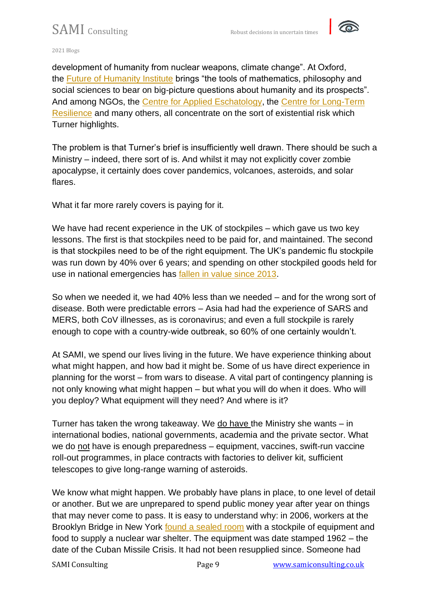

2021 Blogs

development of humanity from nuclear weapons, climate change". At Oxford, the [Future of Humanity Institute](https://www.fhi.ox.ac.uk/) brings "the tools of mathematics, philosophy and social sciences to bear on big-picture questions about humanity and its prospects". And among NGOs, the [Centre for Applied Eschatology,](https://www.appliedeschatology.com/about) the [Centre for Long-Term](https://www.longtermresilience.org/)  [Resilience](https://www.longtermresilience.org/) and many others, all concentrate on the sort of existential risk which Turner highlights.

The problem is that Turner's brief is insufficiently well drawn. There should be such a Ministry – indeed, there sort of is. And whilst it may not explicitly cover zombie apocalypse, it certainly does cover pandemics, volcanoes, asteroids, and solar flares.

What it far more rarely covers is paying for it.

We have had recent experience in the UK of stockpiles – which gave us two key lessons. The first is that stockpiles need to be paid for, and maintained. The second is that stockpiles need to be of the right equipment. The UK's pandemic flu stockpile was run down by 40% over 6 years; and spending on other stockpiled goods held for use in national emergencies has [fallen in value since 2013.](https://www.theguardian.com/world/2020/apr/12/revealed-value-of-uk-pandemic-stockpile-fell-by-40-in-six-years)

So when we needed it, we had 40% less than we needed – and for the wrong sort of disease. Both were predictable errors – Asia had had the experience of SARS and MERS, both CoV illnesses, as is coronavirus; and even a full stockpile is rarely enough to cope with a country-wide outbreak, so 60% of one certainly wouldn't.

At SAMI, we spend our lives living in the future. We have experience thinking about what might happen, and how bad it might be. Some of us have direct experience in planning for the worst – from wars to disease. A vital part of contingency planning is not only knowing what might happen – but what you will do when it does. Who will you deploy? What equipment will they need? And where is it?

Turner has taken the wrong takeaway. We do have the Ministry she wants – in international bodies, national governments, academia and the private sector. What we do not have is enough preparedness – equipment, vaccines, swift-run vaccine roll-out programmes, in place contracts with factories to deliver kit, sufficient telescopes to give long-range warning of asteroids.

We know what might happen. We probably have plans in place, to one level of detail or another. But we are unprepared to spend public money year after year on things that may never come to pass. It is easy to understand why: in 2006, workers at the Brooklyn Bridge in New York [found a sealed room](https://www.nytimes.com/2006/03/21/nyregion/inside-the-brooklyn-bridge-a-whiff-of-the-cold-war.html) with a stockpile of equipment and food to supply a nuclear war shelter. The equipment was date stamped 1962 – the date of the Cuban Missile Crisis. It had not been resupplied since. Someone had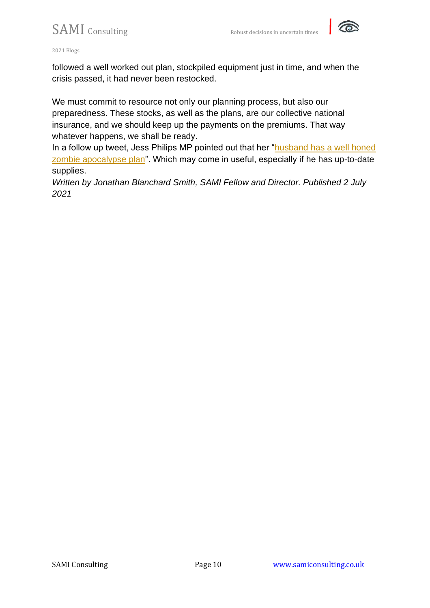

2021 Blogs

followed a well worked out plan, stockpiled equipment just in time, and when the crisis passed, it had never been restocked.

We must commit to resource not only our planning process, but also our preparedness. These stocks, as well as the plans, are our collective national insurance, and we should keep up the payments on the premiums. That way whatever happens, we shall be ready.

In a follow up tweet, Jess Philips MP pointed out that her ["husband has a well honed](https://twitter.com/jessphillips/status/1397506524788973571)  [zombie apocalypse plan"](https://twitter.com/jessphillips/status/1397506524788973571). Which may come in useful, especially if he has up-to-date supplies.

*Written by Jonathan Blanchard Smith, SAMI Fellow and Director. Published 2 July 2021*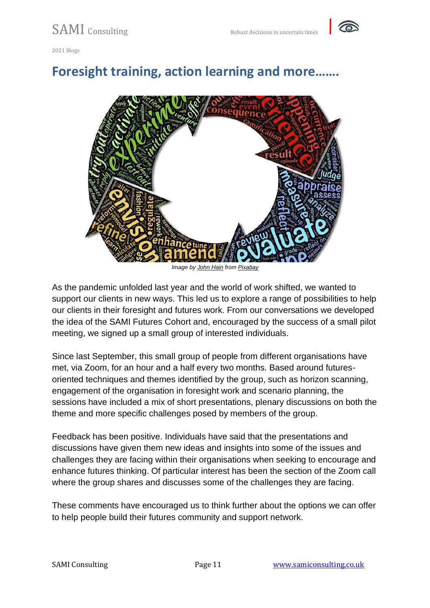

### **Foresight training, action learning and more…….**



*Image by [John Hain](https://pixabay.com/users/johnhain-352999/?utm_source=link-attribution&utm_medium=referral&utm_campaign=image&utm_content=3026580) from [Pixabay](https://pixabay.com/?utm_source=link-attribution&utm_medium=referral&utm_campaign=image&utm_content=3026580)*

As the pandemic unfolded last year and the world of work shifted, we wanted to support our clients in new ways. This led us to explore a range of possibilities to help our clients in their foresight and futures work. From our conversations we developed the idea of the SAMI Futures Cohort and, encouraged by the success of a small pilot meeting, we signed up a small group of interested individuals.

Since last September, this small group of people from different organisations have met, via Zoom, for an hour and a half every two months. Based around futuresoriented techniques and themes identified by the group, such as horizon scanning, engagement of the organisation in foresight work and scenario planning, the sessions have included a mix of short presentations, plenary discussions on both the theme and more specific challenges posed by members of the group.

Feedback has been positive. Individuals have said that the presentations and discussions have given them new ideas and insights into some of the issues and challenges they are facing within their organisations when seeking to encourage and enhance futures thinking. Of particular interest has been the section of the Zoom call where the group shares and discusses some of the challenges they are facing.

These comments have encouraged us to think further about the options we can offer to help people build their futures community and support network.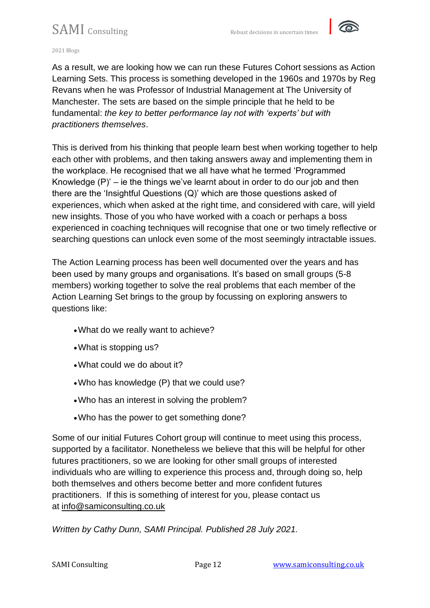

#### 2021 Blogs

As a result, we are looking how we can run these Futures Cohort sessions as Action Learning Sets. This process is something developed in the 1960s and 1970s by Reg Revans when he was Professor of Industrial Management at The University of Manchester. The sets are based on the simple principle that he held to be fundamental: *the key to better performance lay not with 'experts' but with practitioners themselves*.

This is derived from his thinking that people learn best when working together to help each other with problems, and then taking answers away and implementing them in the workplace. He recognised that we all have what he termed 'Programmed Knowledge  $(P)'$  – ie the things we've learnt about in order to do our job and then there are the 'Insightful Questions (Q)' which are those questions asked of experiences, which when asked at the right time, and considered with care, will yield new insights. Those of you who have worked with a coach or perhaps a boss experienced in coaching techniques will recognise that one or two timely reflective or searching questions can unlock even some of the most seemingly intractable issues.

The Action Learning process has been well documented over the years and has been used by many groups and organisations. It's based on small groups (5-8 members) working together to solve the real problems that each member of the Action Learning Set brings to the group by focussing on exploring answers to questions like:

- •What do we really want to achieve?
- •What is stopping us?
- •What could we do about it?
- •Who has knowledge (P) that we could use?
- •Who has an interest in solving the problem?
- •Who has the power to get something done?

Some of our initial Futures Cohort group will continue to meet using this process, supported by a facilitator. Nonetheless we believe that this will be helpful for other futures practitioners, so we are looking for other small groups of interested individuals who are willing to experience this process and, through doing so, help both themselves and others become better and more confident futures practitioners. If this is something of interest for you, please contact us at [info@samiconsulting.co.uk](mailto:info@samiconsulting.co.uk)

*Written by Cathy Dunn, SAMI Principal. Published 28 July 2021.*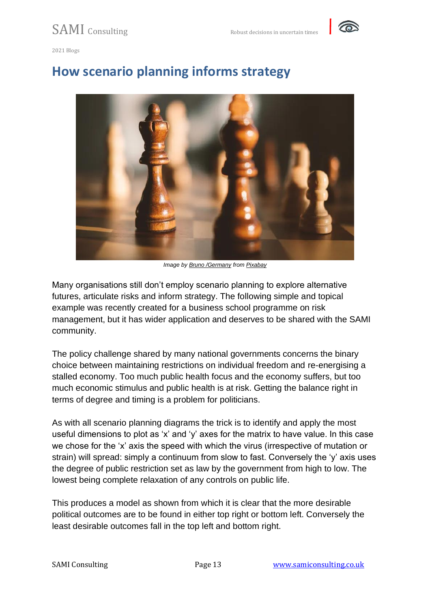

### **How scenario planning informs strategy**



*Image by [Bruno /Germany](https://pixabay.com/users/bru-no-1161770/?utm_source=link-attribution&utm_medium=referral&utm_campaign=image&utm_content=4794265) from [Pixabay](https://pixabay.com/?utm_source=link-attribution&utm_medium=referral&utm_campaign=image&utm_content=4794265)*

Many organisations still don't employ scenario planning to explore alternative futures, articulate risks and inform strategy. The following simple and topical example was recently created for a business school programme on risk management, but it has wider application and deserves to be shared with the SAMI community.

The policy challenge shared by many national governments concerns the binary choice between maintaining restrictions on individual freedom and re-energising a stalled economy. Too much public health focus and the economy suffers, but too much economic stimulus and public health is at risk. Getting the balance right in terms of degree and timing is a problem for politicians.

As with all scenario planning diagrams the trick is to identify and apply the most useful dimensions to plot as 'x' and 'y' axes for the matrix to have value. In this case we chose for the 'x' axis the speed with which the virus (irrespective of mutation or strain) will spread: simply a continuum from slow to fast. Conversely the 'y' axis uses the degree of public restriction set as law by the government from high to low. The lowest being complete relaxation of any controls on public life.

This produces a model as shown from which it is clear that the more desirable political outcomes are to be found in either top right or bottom left. Conversely the least desirable outcomes fall in the top left and bottom right.